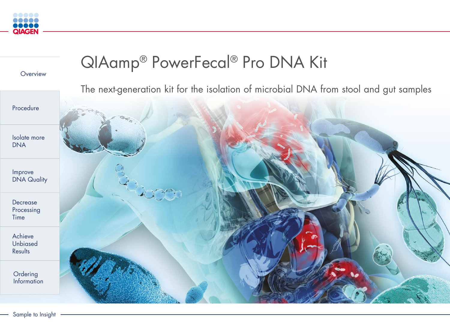

Improve DNA Quality

Sample to Insight

**Ordering** Information



Procedure

**Overview** 

Isolate more DNA

Decrease Processing Time

Achieve Unbiased Results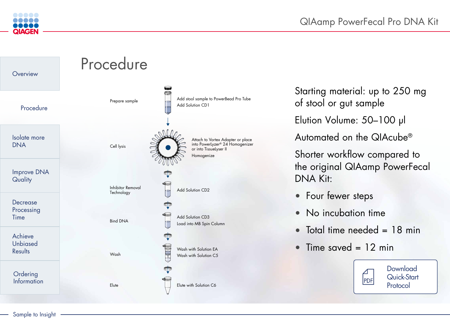

Starting material: up to 250 mg of stool or gut sample Elution Volume: 50–100 µl Automated on the QIAcube® Shorter workflow compared to the original QIAamp PowerFecal DNA Kit:

- Four fewer steps
- No incubation time
- Total time needed = 18 min
- Time saved = 12 min















Load into MB Spin Column

Add stool sample to PowerBead Pro Tube

Attach to Vortex Adapter or place into PowerLyzer® 24 Homogenizer or into TissueLyser II Homogenize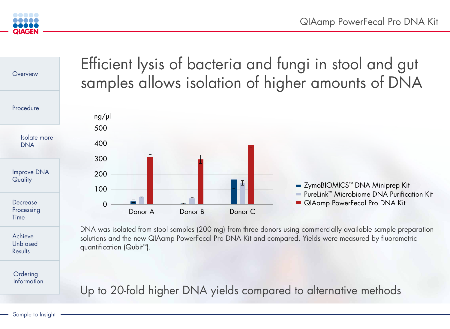

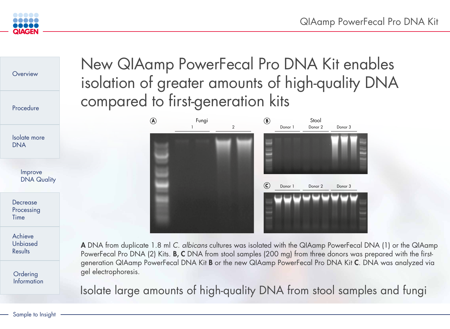![](_page_3_Picture_0.jpeg)

![](_page_3_Figure_1.jpeg)

# New QIAamp PowerFecal Pro DNA Kit enables isolation of greater amounts of high-quality DNA compared to first-generation kits

![](_page_3_Picture_3.jpeg)

Isolate large amounts of high-quality DNA from stool samples and fungi

A DNA from duplicate 1.8 ml *C. albicans* cultures was isolated with the QIAamp PowerFecal DNA (1) or the QIAamp PowerFecal Pro DNA (2) Kits. **B, C** DNA from stool samples (200 mg) from three donors was prepared with the firstgeneration QIAamp PowerFecal DNA Kit B or the new QIAamp PowerFecal Pro DNA Kit C. DNA was analyzed via gel electrophoresis.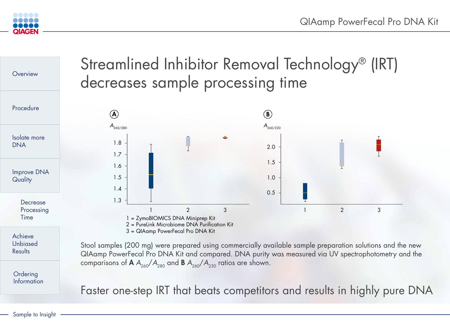![](_page_4_Picture_8.jpeg)

![](_page_4_Picture_0.jpeg)

![](_page_4_Figure_1.jpeg)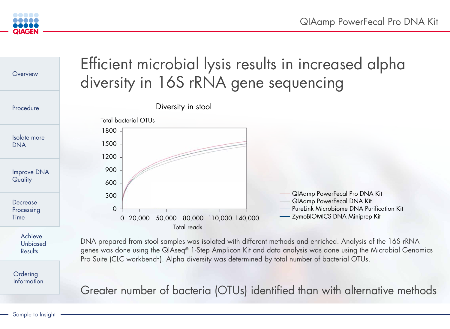![](_page_5_Figure_9.jpeg)

**Ordering** Information

![](_page_5_Picture_0.jpeg)

![](_page_5_Figure_1.jpeg)

Greater number of bacteria (OTUs) identified than with alternative methods